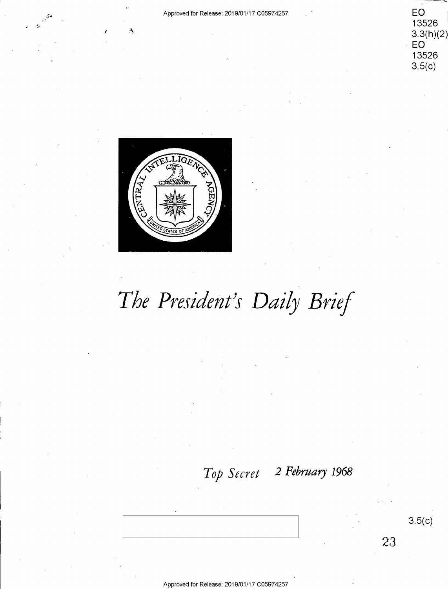

 $3.5(c)$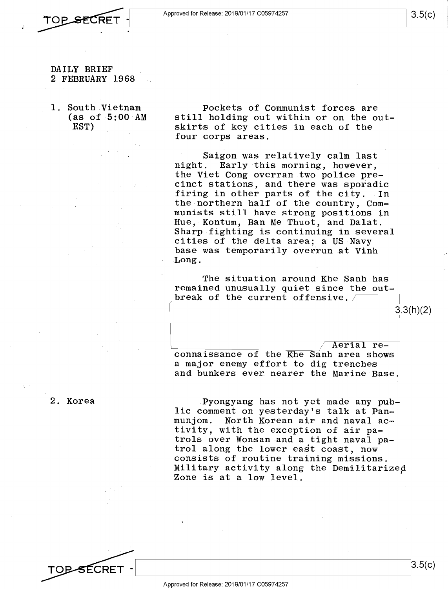- ;,-,-*r'\* **n** ~ Approved for Release: 2019/01/17 C0597 4257 **\*TOP SECRET** - **Approved for Release: 2019/01/17 C05974257** 3.5 RET 1
	- DAILY BRIEF DAILY BRIEF . 2 FEBRUARY 1968 2 FEBRUARY 1968
	- 1. South Vietnam 1. South.Vietnam (as of 5:00 AM (as of 5:00 AM **EST)**  .EST)-

Pockets of Communist forces are Pockets of Communist forces are still holding out within or on the out-still holding out within or on the outskirts of key cities in each of the skirts of key cities in each of the four corps areas. four corps areas.

Saigon was relatively calm last Saigon was relatively calm last night. Early this morning, however, night. Early this morning, however, the Viet Cong overran two police pre-the Viet Cong overran two police pre cinct stations, and there was sporadic cinct stations, and there was sporadic firing in other parts of the city. In firing in other parts of the city. -In the northern half of the country, Com-the northern half of the country, Com munists still have strong positions in munists still have strong positions in Hue, Kontum, Ban Me Thuot, and Dalat. Hue,-Kontum, Ban.Me Thuot, and Dalat. Sharp fighting is continuing in several Sharp fighting is continuing in several cities of the delta area; a US Navy cities of the delta area; <sup>a</sup> US Navy base was temporarily overiun at Vinh base was temporarily overrun at Vinh Long. .Long.

The situation around Khe Sanh has The situation around Khe Sanh has remained unusually quiet since the out-remained unusually quiet since the out break of the current offensive.

Aerial reconnaissance of the Khe Sanh area shows .connaissance of the Khe Sanh area shows a major enemy effort to dig trenches <sup>a</sup> major enemy effort to dig trenches and bunkers ever nearer the Marine Base. and bunkers ever nearer the Marine Base.

2. Korea

Pyongyang has not yet made any pub-.Pyongyang has not yet made any pub lic comment on yesterday's talk at Pan-lic comment on yesterday's talk at.Pan~ munjom. North Korean air and naval ac-munjom. North Korean air and naval ac» tivity, with the exception of air pa-tivity, with the exception of air pa trols over Wonsan and a tight naval pa-trols over Wonsan and <sup>a</sup> tight naval pa trol along the lower east coast, now trol along the lower east coast, now consists of routine training missions. consists of routine training missions. versions of forcing the militarized I intervals and I have a settled  $\frac{1}{2}$  and  $\frac{1}{2}$  and  $\frac{1}{2}$  and  $\frac{1}{2}$  and  $\frac{1}{2}$  and  $\frac{1}{2}$  and  $\frac{1}{2}$  and  $\frac{1}{2}$  and  $\frac{1}{2}$  and  $\frac{1}{2}$  and  $\frac{1}{2}$  and Zone is at a low level. Zone is at a low level.



 $3.3(h)(2)$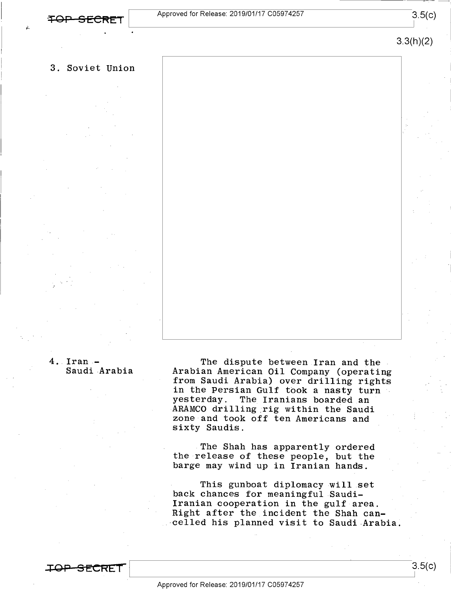3.5(c)

3.3(h)(2)

I

## 3. Soviet Union 3. Soviet Union

### 4. Iran - 4..Iran.- Saudi Arabia Saudi-Arabia

The dispute between Iran and the The dispute between.Iran and the . Arabian American Oil Company (operating Arabian-American Oil Company (operating from Saudi Arabia) over drilling rights from SaudiArabia) over drilling rights in the Persian Gulf took a nasty turn yesterday. The Iranians boarded an yesterday. The Iranians boarded an ARAMCO drilling rig within the Saudi zone and took off ten Americans and zone and took off ten Americans and sixty Saudis. sixty Saudis.

The Shah has apparently ordered The Shah has apparently ordered<br>the release of these people, but the barge may wind up in Iranian hands. barge may wind up in Iranian hands. the release of these people, but the

This gunboat diplomacy will set  $\;$ back chances for meaningful Saudi-back chances for meaningful Saudi-Iranian cooperation in the gulf area. Iranian cooperation in the gulf-area. Right after the incident the Shah can-Right after the\_incident the Shah can--celled his planned visit to Saudi-Arabia. xcelled his planned visit to Saudi Arabia;

<u>.CRET</u>

 $3.5(c)$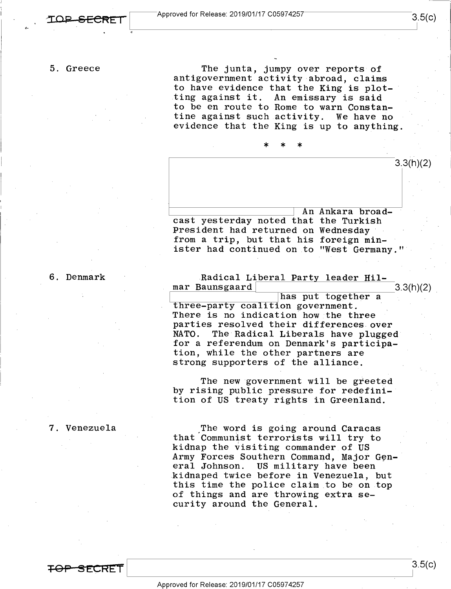5. Greece 5. Greece

The junta, jumpy over reports of The junta, jumpy over reports of antigovernment activity abroad, claims antigovernment activity-abroad, claims to have evidence that the King is plot-to have evidence that the King is plot-' ting against it. An emissary is said to be en route to Rome to warn Constan-to be en route to Rome to warn Constantine against such activity. We have no tine against such.activity. We have no evidence that the King is up to anything. evidence that the King is up to anything.

'—

\* \* \*  $3.3(h)(2)$ ~-----------I An Ankara broad-cast yesterday noted that the Turkish cast yesterday noted that the Turkish \* >|< \* \ An Ankara broad-

President had returned on Wednesday President had returned on Wednesday' . from a trip, but that his foreign min-from <sup>a</sup> trip, but that his foreign min ister had continued on to "West Germany." ister had continued on to "West Germany.""

6. Denmark 6. Denmark

Radical Li<u>beral Party leader Hil-</u> mar Baunsgaard 3.3(h)(2) mar Baunsgaard' 3.3(h)(2) \_

has put together a state of the set of the set of the set of the set of the set of the set of the set of the set of the set of the set of the set of the set of the set of the set of the set of the set of the set of the set three-party coalition government. There is no indication how the three parties resolved their differences over parties resolved their differences oVer .<br>NATO. The Radical Liberals have plugged for a referendum on Denmark's participa-for <sup>a</sup> referendum on Denmark's participation, while the other partners are tion, while the other partners are strong supporters of the alliance. strong supporters of the alliance.

The new government will be greeted by rising public pressure for redefinition of US treaty rights in Greenland. tion of US treaty rights in Greenland.

### 7. Venezuela 7. Venezuela

**-=FOP !3 E.CR£i** 

\_The word is going around Caracas ,The word is going around Caracas that Communist terrorists will try to that Communist terrorists will try to kidnap the visiting commander of US kidnap the visiting commander of US Army Forces Southern Command, Major General Johnson. US military have been eral Johnson. US military have been kidnaped twice before in Venezuela, but .kidnaped twice before in Venezuela, but this time the police claim to be on top this time the police claim to be on.top of things and are throwing extra security around the General. curity around the General.

3.5(c) I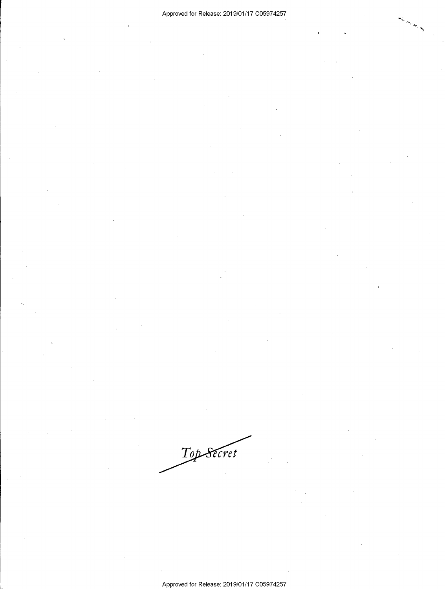Top Secret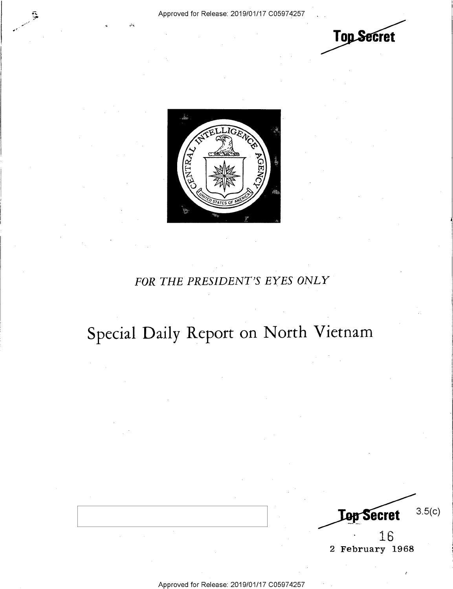•'.

 $\mathcal{L}$ 





## *FOR THE PRESIDENT'S EYES ONLY*  FOR THE PRESIDENT'S EYES ONLY

# **Special Daily Report on North Vietnam**  Special Daily Report on North Vietnam

3.5(c) **Lop Secret**  $16$   $\qquad$ 

r'

2 February 1968  $\vert$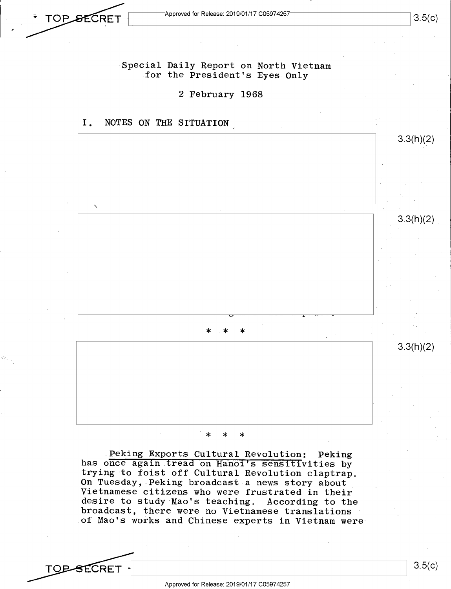$\overline{\text{CRET}}$  Approved for Release: 2019/01/17 C05974257  $\overline{\text{CRET}}$  3.5(c)

Special Daily Report on North Vietnam for the President's Eyes Only

2 February 1968 2 February 1968



#### \* \* \* \* \* \*

Peking Exports Cultural Revolution: Peking has once again tread on Hanoi's sensitivities by trying to foist off Cultural Revolution claptrap. trying to foist off Cultural Revolution claptrap. **On** Tuesday, Peking broadcast a news story about On Tuesday, Peking broadcast <sup>a</sup> news story about Vietnamese citizens who were frustrated in their Vietnamese citizens who were frustrated in their desire to study·Mao's teaching. According to the desire to study Mao's teaching. According to the broadcast, there were no Vietnamese translations broadcast, there were no Vietnamese translations of Mao's works and Chinese experts in Vietnam were-

 $\begin{array}{c|c|c|c|c} \hline \text{13.5(c)} & & 3.5(c) \hline \end{array}$  $\epsilon$   $\sim$   $\sim$   $\sim$  3.5(c)